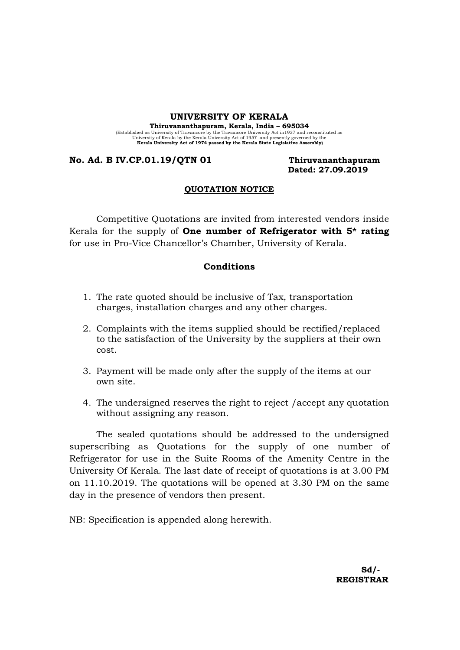#### UNIVERSITY OF KERALA

Thiruvananthapuram, Kerala, India – 695034 (Established as University of Travancore by the Travancore University Act in 1937 and reconstituted as University Act Scholar University Act of 1957 and presently governed by the Kerala University Act of 1974 passed by the

### No. Ad. B IV.CP.01.19/QTN 01 Thiruvananthapuram

Dated: 27.09.2019

#### QUOTATION NOTICE

Competitive Quotations are invited from interested vendors inside Kerala for the supply of **One number of Refrigerator with 5<sup>** $*$ **</sup> rating** for use in Pro-Vice Chancellor's Chamber, University of Kerala.

#### Conditions

- 1. The rate quoted should be inclusive of Tax, transportation charges, installation charges and any other charges.
- 2. Complaints with the items supplied should be rectified/replaced to the satisfaction of the University by the suppliers at their own cost.
- 3. Payment will be made only after the supply of the items at our own site.
- 4. The undersigned reserves the right to reject /accept any quotation without assigning any reason.

The sealed quotations should be addressed to the undersigned superscribing as Quotations for the supply of one number of Refrigerator for use in the Suite Rooms of the Amenity Centre in the University Of Kerala. The last date of receipt of quotations is at 3.00 PM on 11.10.2019. The quotations will be opened at 3.30 PM on the same day in the presence of vendors then present.

NB: Specification is appended along herewith.

 Sd/- REGISTRAR